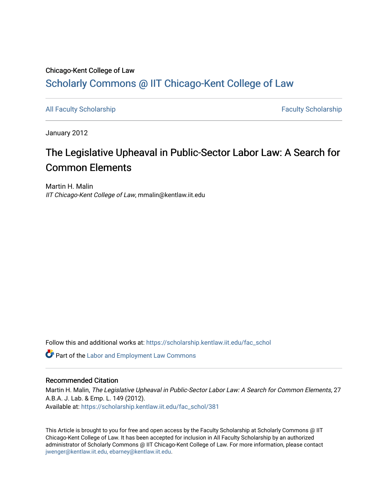## Chicago-Kent College of Law [Scholarly Commons @ IIT Chicago-Kent College of Law](https://scholarship.kentlaw.iit.edu/)

[All Faculty Scholarship](https://scholarship.kentlaw.iit.edu/fac_schol) **Faculty Scholarship Faculty Scholarship Faculty Scholarship** 

January 2012

# The Legislative Upheaval in Public-Sector Labor Law: A Search for Common Elements

Martin H. Malin IIT Chicago-Kent College of Law, mmalin@kentlaw.iit.edu

Follow this and additional works at: [https://scholarship.kentlaw.iit.edu/fac\\_schol](https://scholarship.kentlaw.iit.edu/fac_schol?utm_source=scholarship.kentlaw.iit.edu%2Ffac_schol%2F381&utm_medium=PDF&utm_campaign=PDFCoverPages) 

Part of the [Labor and Employment Law Commons](http://network.bepress.com/hgg/discipline/909?utm_source=scholarship.kentlaw.iit.edu%2Ffac_schol%2F381&utm_medium=PDF&utm_campaign=PDFCoverPages)

### Recommended Citation

Martin H. Malin, The Legislative Upheaval in Public-Sector Labor Law: A Search for Common Elements, 27 A.B.A. J. Lab. & Emp. L. 149 (2012). Available at: [https://scholarship.kentlaw.iit.edu/fac\\_schol/381](https://scholarship.kentlaw.iit.edu/fac_schol/381?utm_source=scholarship.kentlaw.iit.edu%2Ffac_schol%2F381&utm_medium=PDF&utm_campaign=PDFCoverPages)

This Article is brought to you for free and open access by the Faculty Scholarship at Scholarly Commons @ IIT Chicago-Kent College of Law. It has been accepted for inclusion in All Faculty Scholarship by an authorized administrator of Scholarly Commons @ IIT Chicago-Kent College of Law. For more information, please contact [jwenger@kentlaw.iit.edu, ebarney@kentlaw.iit.edu.](mailto:jwenger@kentlaw.iit.edu,%20ebarney@kentlaw.iit.edu)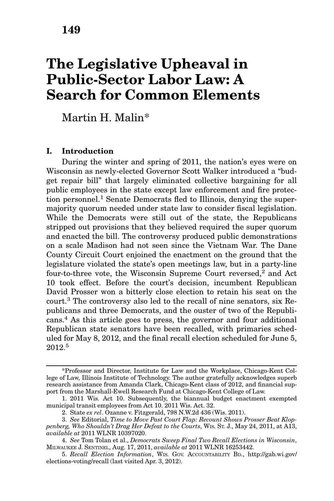## The Legislative Upheaval in Public-Sector Labor Law: A Search for Common Elements

Martin H. Malin\*

#### I. Introduction

During the winter and spring of 2011, the nation's eyes were on Wisconsin as newly-elected Governor Scott Walker introduced a "budget repair bill" that largely eliminated collective bargaining for all public employees in the state except law enforcement and fire protection personnel.<sup>1</sup> Senate Democrats fled to Illinois, denying the supermajority quorum needed under state law to consider fiscal legislation. While the Democrats were still out of the state, the Republicans stripped out provisions that they believed required the super quorum and enacted the bill. The controversy produced public demonstrations on a scale Madison had not seen since the Vietnam War. The Dane County Circuit Court enjoined the enactment on the ground that the legislature violated the state's open meetings law, but in a party-line four-to-three vote, the Wisconsin Supreme Court reversed,<sup>2</sup> and Act 10 took effect. Before the court's decision, incumbent Republican David Prosser won a bitterly close election to retain his seat on the court.<sup>3</sup> The controversy also led to the recall of nine senators, six Republicans and three Democrats, and the ouster of two of the Republicans.4 As this article goes to press, the governor and four additional Republican state senators have been recalled, with primaries scheduled for May 8, 2012, and the final recall election scheduled for June 5, 2012.<sup>5</sup>

<sup>\*</sup>Professor and Director, Institute for Law and the Workplace, Chicago-Kent College of Law, Illinois Institute of Technology. The author gratefully acknowledges superb research assistance from Amanda Clark, Chicago-Kent class of 2012, and financial support from the Marshall-Ewell Research Fund at Chicago-Kent College of Law.

<sup>1. 2011</sup> Wis. Act 10. Subsequently, the biannual budget enactment exempted municipal transit employees from Act 10. 2011 Wis. Act. 32.

<sup>2.</sup> State ex rel. Ozanne v. Fitzgerald, 798 N.W.2d 436 (Wis. 2011).

<sup>3.</sup> See Editorial, Time to Move Past Court Flap: Recount Shows Prosser Beat Kloppenberg, Who Shouldn't Drag Her Defeat to the Courts, WIS. ST. J., May 24, 2011, at A13, available at 2011 WLNR 10397020.

<sup>4.</sup> See Tom Tolan et al., Democrats Sweep Final Two Recall Elections in Wisconsin, MILWAUKEE J. SENTINEL, Aug. 17, 2011, available at 2011 WLNR 16253442.

<sup>5.</sup> Recall Election Information, WIS. GOV. ACCOUNTABILITY BD., http://gab.wi.gov/ elections-voting/recall (last visited Apr. 3, 2012).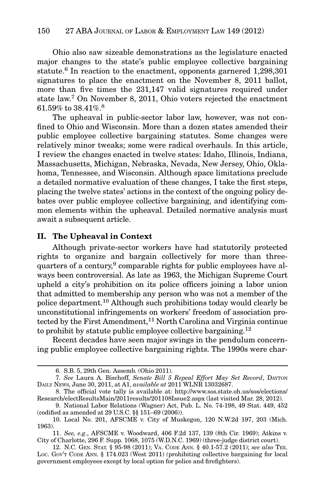Ohio also saw sizeable demonstrations as the legislature enacted major changes to the state's public employee collective bargaining statute.<sup>6</sup> In reaction to the enactment, opponents garnered 1,298,301 signatures to place the enactment on the November 8, 2011 ballot, more than five times the 231,147 valid signatures required under state law.<sup>7</sup> On November 8, 2011, Ohio voters rejected the enactment 61.59% to 38.41%.<sup>8</sup>

The upheaval in public-sector labor law, however, was not confined to Ohio and Wisconsin. More than a dozen states amended their public employee collective bargaining statutes. Some changes were relatively minor tweaks; some were radical overhauls. In this article, I review the changes enacted in twelve states: Idaho, Illinois, Indiana, Massachusetts, Michigan, Nebraska, Nevada, New Jersey, Ohio, Oklahoma, Tennessee, and Wisconsin. Although space limitations preclude a detailed normative evaluation of these changes, I take the first steps, placing the twelve states' actions in the context of the ongoing policy debates over public employee collective bargaining, and identifying common elements within the upheaval. Detailed normative analysis must await a subsequent article.

#### II. The Upheaval in Context

Although private-sector workers have had statutorily protected rights to organize and bargain collectively for more than threequarters of a century,<sup>9</sup> comparable rights for public employees have always been controversial. As late as 1963, the Michigan Supreme Court upheld a city's prohibition on its police officers joining a labor union that admitted to membership any person who was not a member of the police department.10 Although such prohibitions today would clearly be unconstitutional infringements on workers' freedom of association protected by the First Amendment,<sup>11</sup> North Carolina and Virginia continue to prohibit by statute public employee collective bargaining.12

Recent decades have seen major swings in the pendulum concerning public employee collective bargaining rights. The 1990s were char-

<sup>6.</sup> S.B. 5, 29th Gen. Assemb. (Ohio 2011).

<sup>7.</sup> See Laura A. Bischoff, Senate Bill 5 Repeal Effort May Set Record, DAYTON DAILY NEWS, June 30, 2011, at A1, available at 2011 WLNR 13032687.

<sup>8.</sup> The official vote tally is available at: http://www.sos.state.oh.us/sos/elections/ Research/electResultsMain/2011results/201108Issue2.aspx (last visited Mar. 28, 2012).

<sup>9.</sup> National Labor Relations (Wagner) Act, Pub. L. No. 74-198, 49 Stat. 449, 452 (codified as amended at 29 U.S.C. §§ 151–69 (2006)).

<sup>10.</sup> Local No. 201, AFSCME v. City of Muskegon, 120 N.W.2d 197, 203 (Mich. 1963).

<sup>11.</sup> See, e.g., AFSCME v. Woodward, 406 F.2d 137, 139 (8th Cir. 1969); Atkins v. City of Charlotte, 296 F. Supp. 1068, 1075 (W.D.N.C. 1969) (three-judge district court).

<sup>12.</sup> N.C. GEN. STAT. § 95-98 (2011); VA. CODE ANN. § 40.1-57.2 (2011); see also TEX. Loc. Gov't Code Ann. § 174.023 (West 2011) (prohibiting collective bargaining for local government employees except by local option for police and firefighters).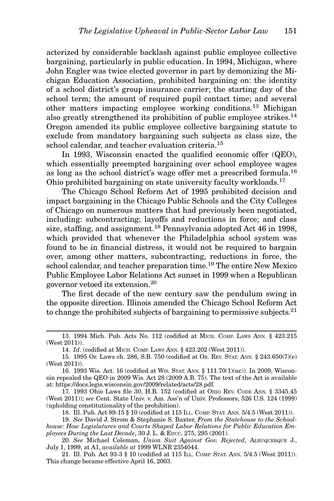acterized by considerable backlash against public employee collective bargaining, particularly in public education. In 1994, Michigan, where John Engler was twice elected governor in part by demonizing the Michigan Education Association, prohibited bargaining on: the identity of a school district's group insurance carrier; the starting day of the school term; the amount of required pupil contact time; and several other matters impacting employee working conditions.13 Michigan also greatly strengthened its prohibition of public employee strikes.<sup>14</sup> Oregon amended its public employee collective bargaining statute to exclude from mandatory bargaining such subjects as class size, the school calendar, and teacher evaluation criteria.<sup>15</sup>

In 1993, Wisconsin enacted the qualified economic offer (QEO), which essentially preempted bargaining over school employee wages as long as the school district's wage offer met a prescribed formula.<sup>16</sup> Ohio prohibited bargaining on state university faculty workloads.<sup>17</sup>

The Chicago School Reform Act of 1995 prohibited decision and impact bargaining in the Chicago Public Schools and the City Colleges of Chicago on numerous matters that had previously been negotiated, including: subcontracting; layoffs and reductions in force; and class size, staffing, and assignment.<sup>18</sup> Pennsylvania adopted Act 46 in 1998, which provided that whenever the Philadelphia school system was found to be in financial distress, it would not be required to bargain over, among other matters, subcontracting, reductions in force, the school calendar, and teacher preparation time.<sup>19</sup> The entire New Mexico Public Employee Labor Relations Act sunset in 1999 when a Republican governor vetoed its extension.20

The first decade of the new century saw the pendulum swing in the opposite direction. Illinois amended the Chicago School Reform Act to change the prohibited subjects of bargaining to permissive subjects.<sup>21</sup>

<sup>13. 1994</sup> Mich. Pub. Acts No. 112 (codified at MICH. COMP. LAWS ANN. § 423.215 (West 2011)).

<sup>14.</sup> Id. (codified at MICH. COMP. LAWS ANN. § 423.202 (West 2011)).

<sup>15. 1995</sup> Or. Laws ch. 286, S.B. 750 (codified at OR. REV. STAT. ANN. § 243.650(7)(e) (West 2011)).

<sup>16. 1993</sup> Wis. Act. 16 (codified at WIS. STAT. ANN. § 111.70(1)(nc)). In 2009, Wisconsin repealed the QEO in 2009 Wis. Act 28 (2009 A.B. 75). The text of the Act is available at: https://docs.legis.wisconsin.gov/2009/related/acts/28.pdf.

<sup>17. 1993</sup> Ohio Laws file 30, H.B. 152 (codified at OHIO REV. CODE ANN. § 3345.45 (West 2011)); see Cent. State Univ. v. Am. Ass'n of Univ. Professors, 526 U.S. 124 (1999) (upholding constitutionality of the prohibition).

<sup>18.</sup> Ill. Pub. Act 89-15 § 10 (codified at 115 ILL. COMP. STAT. ANN. 5/4.5 (West 2011)).

<sup>19.</sup> See David J. Strom & Stephanie S. Baxter, From the Statehouse to the Schoolhouse: How Legislatures and Courts Shaped Labor Relations for Public Education Employees During the Last Decade, 30 J. L. & EDUC. 275, 295 (2001).

<sup>20.</sup> See Michael Coleman, Union Suit Against Gov. Rejected, ALBUQUERQUE J., July 1, 1999, at A1, available at 1999 WLNR 2354044.

<sup>21.</sup> Ill. Pub. Act 93-3 § 10 (codified at 115 ILL. COMP. STAT. ANN. 5/4.5 (West 2011)). This change became effective April 16, 2003.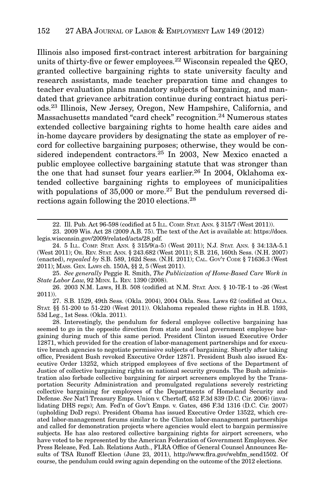Illinois also imposed first-contract interest arbitration for bargaining units of thirty-five or fewer employees.<sup>22</sup> Wisconsin repealed the  $QEO$ , granted collective bargaining rights to state university faculty and research assistants, made teacher preparation time and changes to teacher evaluation plans mandatory subjects of bargaining, and mandated that grievance arbitration continue during contract hiatus periods.<sup>23</sup> Illinois, New Jersey, Oregon, New Hampshire, California, and Massachusetts mandated "card check" recognition.<sup>24</sup> Numerous states extended collective bargaining rights to home health care aides and in-home daycare providers by designating the state as employer of record for collective bargaining purposes; otherwise, they would be considered independent contractors.<sup>25</sup> In 2003, New Mexico enacted a public employee collective bargaining statute that was stronger than the one that had sunset four years earlier.<sup>26</sup> In 2004, Oklahoma extended collective bargaining rights to employees of municipalities with populations of  $35,000$  or more.<sup>27</sup> But the pendulum reversed directions again following the 2010 elections.28

25. See generally Peggie R. Smith, The Publicization of Home-Based Care Work in State Labor Law, 92 MINN. L. REV. 1390 (2008).

26. 2003 N.M. Laws, H.B. 508 (codified at N.M. STAT. ANN. § 10-7E-1 to -26 (West 2011)).

27. S.B. 1529, 49th Sess. (Okla. 2004), 2004 Okla. Sess. Laws 62 (codified at OKLA. STAT. §§ 51-200 to 51-220 (West 2011)). Oklahoma repealed these rights in H.B. 1593, 53d Leg., 1st Sess. (Okla. 2011).

28. Interestingly, the pendulum for federal employee collective bargaining has seemed to go in the opposite direction from state and local government employee bargaining during much of this same period. President Clinton issued Executive Order 12871, which provided for the creation of labor-management partnerships and for executive branch agencies to negotiate permissive subjects of bargaining. Shortly after taking office, President Bush revoked Executive Order 12871. President Bush also issued Executive Order 13252, which stripped employees of five sections of the Department of Justice of collective bargaining rights on national security grounds. The Bush administration also forbade collective bargaining for airport screeners employed by the Transportation Security Administration and promulgated regulations severely restricting collective bargaining for employees of the Departments of Homeland Security and Defense. See Nat'l Treasury Emps. Union v. Chertoff, 452 F.3d 839 (D.C. Cir. 2006) (invalidating DHS regs); Am. Fed'n of Gov't Emps. v. Gates, 486 F.3d 1316 (D.C. Cir. 2007) (upholding DoD regs). President Obama has issued Executive Order 13522, which created labor-management forums similar to the Clinton labor-management partnerships and called for demonstration projects where agencies would elect to bargain permissive subjects. He has also restored collective bargaining rights for airport screeners, who have voted to be represented by the American Federation of Government Employees. See Press Release, Fed. Lab. Relations Auth., FLRA Office of General Counsel Announces Results of TSA Runoff Election (June 23, 2011), http://www.flra.gov/webfm\_send1502. Of course, the pendulum could swing again depending on the outcome of the 2012 elections.

<sup>22.</sup> Ill. Pub. Act 96-598 (codified at 5 ILL. COMP. STAT. ANN. § 315/7 (West 2011)).

<sup>23. 2009</sup> Wis. Act 28 (2009 A.B. 75). The text of the Act is available at: https://docs. legis.wisconsin.gov/2009/related/acts/28.pdf.

<sup>24. 5</sup> ILL. COMP. STAT. ANN. § 315/9(a-5) (West 2011); N.J. STAT. ANN. § 34:13A-5.1 (West 2011); OR. REV. STAT. ANN. § 243.682 (West 2011); S.B. 216, 160th Sess. (N.H. 2007) (enacted), repealed by S.B. 589, 162d Sess. (N.H. 2011); CAL. GOV'T CODE § 71636.3 (West 2011); MASS. GEN. LAWS ch. 150A, §§ 2, 5 (West 2011).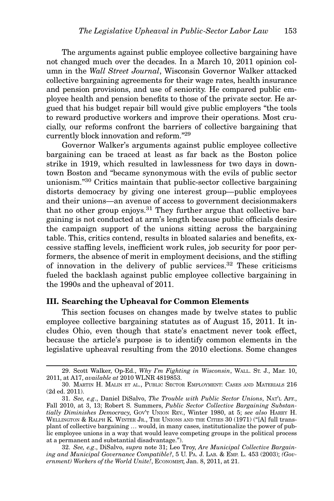The arguments against public employee collective bargaining have not changed much over the decades. In a March 10, 2011 opinion column in the Wall Street Journal, Wisconsin Governor Walker attacked collective bargaining agreements for their wage rates, health insurance and pension provisions, and use of seniority. He compared public employee health and pension benefits to those of the private sector. He argued that his budget repair bill would give public employers "the tools to reward productive workers and improve their operations. Most crucially, our reforms confront the barriers of collective bargaining that currently block innovation and reform."29

Governor Walker's arguments against public employee collective bargaining can be traced at least as far back as the Boston police strike in 1919, which resulted in lawlessness for two days in downtown Boston and "became synonymous with the evils of public sector unionism."<sup>30</sup> Critics maintain that public-sector collective bargaining distorts democracy by giving one interest group—public employees and their unions—an avenue of access to government decisionmakers that no other group enjoys.<sup>31</sup> They further argue that collective bargaining is not conducted at arm's length because public officials desire the campaign support of the unions sitting across the bargaining table. This, critics contend, results in bloated salaries and benefits, excessive staffing levels, inefficient work rules, job security for poor performers, the absence of merit in employment decisions, and the stifling of innovation in the delivery of public services. $32$  These criticisms fueled the backlash against public employee collective bargaining in the 1990s and the upheaval of 2011.

#### III. Searching the Upheaval for Common Elements

This section focuses on changes made by twelve states to public employee collective bargaining statutes as of August 15, 2011. It includes Ohio, even though that state's enactment never took effect, because the article's purpose is to identify common elements in the legislative upheaval resulting from the 2010 elections. Some changes

<sup>29.</sup> Scott Walker, Op-Ed., Why I'm Fighting in Wisconsin, WALL. ST. J., Mar. 10, 2011, at A17, available at 2010 WLNR 4819853.

<sup>30.</sup> MARTIN H. MALIN ET AL., PUBLIC SECTOR EMPLOYMENT: CASES AND MATERIALS 216 (2d ed. 2011).

<sup>31.</sup> See, e.g., Daniel DiSalvo, The Trouble with Public Sector Unions, NAT'L AFF., Fall 2010, at 3, 13; Robert S. Summers, Public Sector Collective Bargaining Substantially Diminishes Democracy, Gov't UNION REV., Winter 1980, at 5; see also HARRY H. WELLINGTON & RALPH K. WINTER JR., THE UNIONS AND THE CITIES 30 (1971) ("[A] full transplant of collective bargaining … would, in many cases, institutionalize the power of public employee unions in a way that would leave competing groups in the political process at a permanent and substantial disadvantage.").

<sup>32.</sup> See, e.g., DiSalvo, supra note 31; Leo Troy, Are Municipal Collective Bargaining and Municipal Governance Compatible?, 5 U. PA. J. LAB. & EMP. L. 453 (2003); (Government) Workers of the World Unite!, ECONOMIST, Jan. 8, 2011, at 21.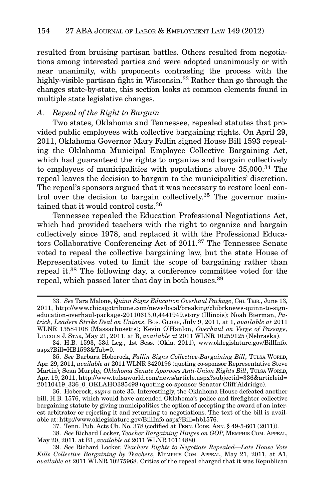resulted from bruising partisan battles. Others resulted from negotiations among interested parties and were adopted unanimously or with near unanimity, with proponents contrasting the process with the highly-visible partisan fight in Wisconsin.<sup>33</sup> Rather than go through the changes state-by-state, this section looks at common elements found in multiple state legislative changes.

#### A. Repeal of the Right to Bargain

Two states, Oklahoma and Tennessee, repealed statutes that provided public employees with collective bargaining rights. On April 29, 2011, Oklahoma Governor Mary Fallin signed House Bill 1593 repealing the Oklahoma Municipal Employee Collective Bargaining Act, which had guaranteed the rights to organize and bargain collectively to employees of municipalities with populations above 35,000.<sup>34</sup> The repeal leaves the decision to bargain to the municipalities' discretion. The repeal's sponsors argued that it was necessary to restore local control over the decision to bargain collectively.<sup>35</sup> The governor maintained that it would control costs.<sup>36</sup>

Tennessee repealed the Education Professional Negotiations Act, which had provided teachers with the right to organize and bargain collectively since 1978, and replaced it with the Professional Educators Collaborative Conferencing Act of 2011.<sup>37</sup> The Tennessee Senate voted to repeal the collective bargaining law, but the state House of Representatives voted to limit the scope of bargaining rather than repeal it.<sup>38</sup> The following day, a conference committee voted for the repeal, which passed later that day in both houses.39

<sup>33.</sup> See Tara Malone, Quinn Signs Education Overhaul Package, CHI. TRIB., June 13, 2011, http://www.chicagotribune.com/news/local/breaking/chibrknews-quinn-to-signeducation-overhaul-package-20110613,0,4441949.story (Illinois); Noah Bierman, Patrick, Leaders Strike Deal on Unions, BOS. GLOBE, July 9, 2011, at 1, available at 2011 WLNR 13584108 (Massachusetts); Kevin O'Hanlon, Overhaul on Verge of Passage, LINCOLN J. STAR, May 21, 2011, at B, available at 2011 WLNR 10259125 (Nebraska).

<sup>34.</sup> H.B. 1593, 53d Leg., 1st Sess. (Okla. 2011), www.oklegislature.gov/BillInfo. aspx?Bill=HB1593&Tab=0.

<sup>35.</sup> See Barbara Hoberock, Fallin Signs Collective-Bargaining Bill, TULSA WORLD, Apr. 29, 2011, *available at* 2011 WLNR 8420196 (quoting co-sponsor Representative Steve Martin); Sean Murphy, Oklahoma Senate Approves Anti-Union Rights Bill, TULSA WORLD, Apr. 19, 2011, http://www.tulsaworld.com/news/article.aspx?subjectid=336&articleid= 20110419\_336\_0\_OKLAHO385498 (quoting co-sponsor Senator Cliff Aldridge).

<sup>36.</sup> Hoberock, supra note 35. Interestingly, the Oklahoma House defeated another bill, H.B. 1576, which would have amended Oklahoma's police and firefighter collective bargaining statute by giving municipalities the option of accepting the award of an interest arbitrator or rejecting it and returning to negotiations. The text of the bill is available at: http://www.oklegislature.gov/BillInfo.aspx?Bill=hb1576.

<sup>37.</sup> Tenn. Pub. Acts Ch. No. 378 (codified at TENN. CODE. ANN. § 49-5-601 (2011)).

<sup>38.</sup> See Richard Locker, Teacher Bargaining Hinges on GOP, MEMPHIS COM. APPEAL, May 20, 2011, at B1, available at 2011 WLNR 10114880.

<sup>39.</sup> See Richard Locker, Teachers Rights to Negotiate Repealed—Late House Vote Kills Collective Bargaining by Teachers, MEMPHIS COM. APPEAL, May 21, 2011, at A1, available at 2011 WLNR 10275968. Critics of the repeal charged that it was Republican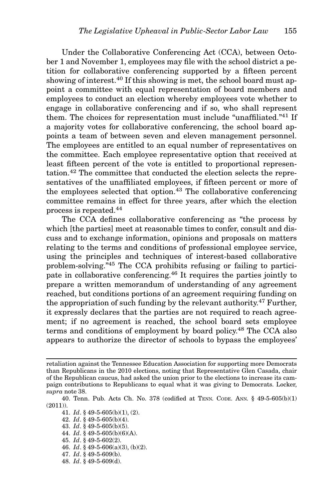Under the Collaborative Conferencing Act (CCA), between October 1 and November 1, employees may file with the school district a petition for collaborative conferencing supported by a fifteen percent showing of interest.<sup>40</sup> If this showing is met, the school board must appoint a committee with equal representation of board members and employees to conduct an election whereby employees vote whether to engage in collaborative conferencing and if so, who shall represent them. The choices for representation must include "unaffiliated."<sup>41</sup> If a majority votes for collaborative conferencing, the school board appoints a team of between seven and eleven management personnel. The employees are entitled to an equal number of representatives on the committee. Each employee representative option that received at least fifteen percent of the vote is entitled to proportional representation.<sup>42</sup> The committee that conducted the election selects the representatives of the unaffiliated employees, if fifteen percent or more of the employees selected that option.<sup>43</sup> The collaborative conferencing committee remains in effect for three years, after which the election process is repeated.<sup>44</sup>

The CCA defines collaborative conferencing as "the process by which [the parties] meet at reasonable times to confer, consult and discuss and to exchange information, opinions and proposals on matters relating to the terms and conditions of professional employee service, using the principles and techniques of interest-based collaborative problem-solving."45 The CCA prohibits refusing or failing to participate in collaborative conferencing.46 It requires the parties jointly to prepare a written memorandum of understanding of any agreement reached, but conditions portions of an agreement requiring funding on the appropriation of such funding by the relevant authority.<sup>47</sup> Further, it expressly declares that the parties are not required to reach agreement; if no agreement is reached, the school board sets employee terms and conditions of employment by board policy.48 The CCA also appears to authorize the director of schools to bypass the employees'

- 44. Id. § 49-5-605(b)(6)(A).
- 45. Id. § 49-5-602(2).
- 46.  $Id. \S$  49-5-606(a)(3), (b)(2).
- 47. Id. § 49-5-609(b).
- 48. Id. § 49-5-609(d).

retaliation against the Tennessee Education Association for supporting more Democrats than Republicans in the 2010 elections, noting that Representative Glen Casada, chair of the Republican caucus, had asked the union prior to the elections to increase its campaign contributions to Republicans to equal what it was giving to Democrats. Locker, supra note 38.

<sup>40.</sup> Tenn. Pub. Acts Ch. No. 378 (codified at TENN. CODE. ANN. § 49-5-605(b)(1) (2011)).

<sup>41.</sup>  $Id. \S$  49-5-605(b)(1), (2).

<sup>42.</sup> Id. § 49-5-605(b)(4).

<sup>43.</sup> Id. § 49-5-605(b)(5).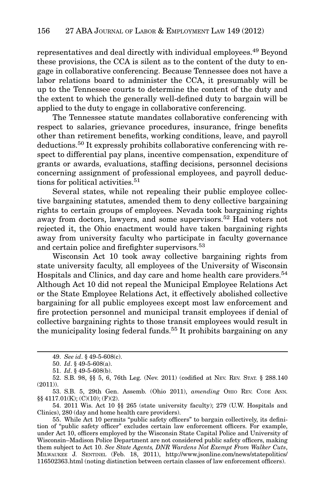representatives and deal directly with individual employees.49 Beyond these provisions, the CCA is silent as to the content of the duty to engage in collaborative conferencing. Because Tennessee does not have a labor relations board to administer the CCA, it presumably will be up to the Tennessee courts to determine the content of the duty and the extent to which the generally well-defined duty to bargain will be applied to the duty to engage in collaborative conferencing.

The Tennessee statute mandates collaborative conferencing with respect to salaries, grievance procedures, insurance, fringe benefits other than retirement benefits, working conditions, leave, and payroll deductions.<sup>50</sup> It expressly prohibits collaborative conferencing with respect to differential pay plans, incentive compensation, expenditure of grants or awards, evaluations, staffing decisions, personnel decisions concerning assignment of professional employees, and payroll deductions for political activities.<sup>51</sup>

Several states, while not repealing their public employee collective bargaining statutes, amended them to deny collective bargaining rights to certain groups of employees. Nevada took bargaining rights away from doctors, lawyers, and some supervisors.<sup>52</sup> Had voters not rejected it, the Ohio enactment would have taken bargaining rights away from university faculty who participate in faculty governance and certain police and firefighter supervisors.<sup>53</sup>

Wisconsin Act 10 took away collective bargaining rights from state university faculty, all employees of the University of Wisconsin Hospitals and Clinics, and day care and home health care providers.<sup>54</sup> Although Act 10 did not repeal the Municipal Employee Relations Act or the State Employee Relations Act, it effectively abolished collective bargaining for all public employees except most law enforcement and fire protection personnel and municipal transit employees if denial of collective bargaining rights to those transit employees would result in the municipality losing federal funds.<sup>55</sup> It prohibits bargaining on any

<sup>49.</sup> See id. § 49-5-608(c).

<sup>50.</sup> Id. § 49-5-608(a).

<sup>51.</sup> Id. § 49-5-608(b).

<sup>52.</sup> S.B. 98, §§ 5, 6, 76th Leg. (Nev. 2011) (codified at NEV. REV. STAT. § 288.140 (2011)).

<sup>53.</sup> S.B. 5, 29th Gen. Assemb. (Ohio 2011), amending OHIO REV. CODE ANN. §§ 4117.01(K); (C)(10); (F)(2).

<sup>54. 2011</sup> Wis. Act 10 §§ 265 (state university faculty); 279 (U.W. Hospitals and Clinics), 280 (day and home health care providers).

<sup>55.</sup> While Act 10 permits "public safety officers" to bargain collectively, its definition of "public safety officer" excludes certain law enforcement officers. For example, under Act 10, officers employed by the Wisconsin State Capital Police and University of Wisconsin–Madison Police Department are not considered public safety officers, making them subject to Act 10. See State Agents, DNR Wardens Not Exempt From Walker Cuts, MILWAUKEE J. SENTINEL (Feb. 18, 2011), http://www.jsonline.com/news/statepolitics/ 116502363.html (noting distinction between certain classes of law enforcement officers).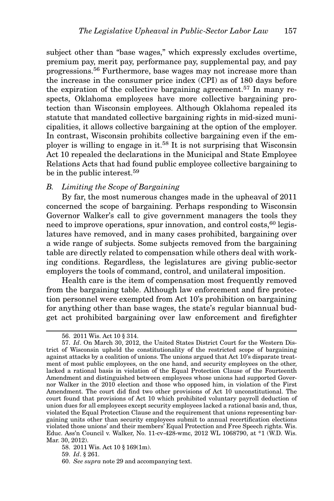subject other than "base wages," which expressly excludes overtime, premium pay, merit pay, performance pay, supplemental pay, and pay progressions.<sup>56</sup> Furthermore, base wages may not increase more than the increase in the consumer price index (CPI) as of 180 days before the expiration of the collective bargaining agreement.<sup>57</sup> In many respects, Oklahoma employees have more collective bargaining protection than Wisconsin employees. Although Oklahoma repealed its statute that mandated collective bargaining rights in mid-sized municipalities, it allows collective bargaining at the option of the employer. In contrast, Wisconsin prohibits collective bargaining even if the employer is willing to engage in it.<sup>58</sup> It is not surprising that Wisconsin Act 10 repealed the declarations in the Municipal and State Employee Relations Acts that had found public employee collective bargaining to be in the public interest.<sup>59</sup>

#### B. Limiting the Scope of Bargaining

By far, the most numerous changes made in the upheaval of 2011 concerned the scope of bargaining. Perhaps responding to Wisconsin Governor Walker's call to give government managers the tools they need to improve operations, spur innovation, and control costs,  $60 \text{ legs}$ latures have removed, and in many cases prohibited, bargaining over a wide range of subjects. Some subjects removed from the bargaining table are directly related to compensation while others deal with working conditions. Regardless, the legislatures are giving public-sector employers the tools of command, control, and unilateral imposition.

Health care is the item of compensation most frequently removed from the bargaining table. Although law enforcement and fire protection personnel were exempted from Act 10's prohibition on bargaining for anything other than base wages, the state's regular biannual budget act prohibited bargaining over law enforcement and firefighter

<sup>56. 2011</sup> Wis. Act 10 § 314.

<sup>57.</sup> Id. On March 30, 2012, the United States District Court for the Western District of Wisconsin upheld the constitutionality of the restricted scope of bargaining against attacks by a coalition of unions. The unions argued that Act 10's disparate treatment of most public employees, on the one hand, and security employees on the other, lacked a rational basis in violation of the Equal Protection Clause of the Fourteenth Amendment and distinguished between employees whose unions had supported Governor Walker in the 2010 election and those who opposed him, in violation of the First Amendment. The court did find two other provisions of Act 10 unconstitutional. The court found that provisions of Act 10 which prohibited voluntary payroll deduction of union dues for all employees except security employees lacked a rational basis and, thus, violated the Equal Protection Clause and the requirement that unions representing bargaining units other than security employees submit to annual recertification elections violated those unions' and their members' Equal Protection and Free Speech rights. Wis. Educ. Ass'n Council v. Walker, No. 11-cv-428-wmc, 2012 WL 1068790, at \*1 (W.D. Wis. Mar. 30, 2012).

<sup>58. 2011</sup> Wis. Act 10 § 169(1m).

<sup>59.</sup> Id. § 261.

<sup>60.</sup> See supra note 29 and accompanying text.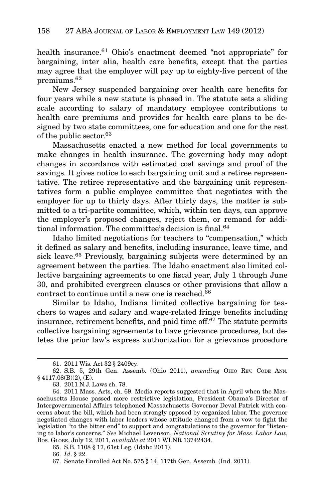health insurance.<sup>61</sup> Ohio's enactment deemed "not appropriate" for bargaining, inter alia, health care benefits, except that the parties may agree that the employer will pay up to eighty-five percent of the premiums.62

New Jersey suspended bargaining over health care benefits for four years while a new statute is phased in. The statute sets a sliding scale according to salary of mandatory employee contributions to health care premiums and provides for health care plans to be designed by two state committees, one for education and one for the rest of the public sector.63

Massachusetts enacted a new method for local governments to make changes in health insurance. The governing body may adopt changes in accordance with estimated cost savings and proof of the savings. It gives notice to each bargaining unit and a retiree representative. The retiree representative and the bargaining unit representatives form a public employee committee that negotiates with the employer for up to thirty days. After thirty days, the matter is submitted to a tri-partite committee, which, within ten days, can approve the employer's proposed changes, reject them, or remand for additional information. The committee's decision is final.<sup>64</sup>

Idaho limited negotiations for teachers to "compensation," which it defined as salary and benefits, including insurance, leave time, and sick leave.65 Previously, bargaining subjects were determined by an agreement between the parties. The Idaho enactment also limited collective bargaining agreements to one fiscal year, July 1 through June 30, and prohibited evergreen clauses or other provisions that allow a contract to continue until a new one is reached.<sup>66</sup>

Similar to Idaho, Indiana limited collective bargaining for teachers to wages and salary and wage-related fringe benefits including insurance, retirement benefits, and paid time of  $f<sup>67</sup>$  The statute permits collective bargaining agreements to have grievance procedures, but deletes the prior law's express authorization for a grievance procedure

<sup>61. 2011</sup> Wis. Act 32 § 2409cy.

<sup>62.</sup> S.B. 5, 29th Gen. Assemb. (Ohio 2011), amending OHIO REV. CODE ANN. § 4117.08(B)(2), (E).

<sup>63. 2011</sup> N.J. Laws ch. 78.

<sup>64. 2011</sup> Mass. Acts, ch. 69. Media reports suggested that in April when the Massachusetts House passed more restrictive legislation, President Obama's Director of Intergovernmental Affairs telephoned Massachusetts Governor Deval Patrick with concerns about the bill, which had been strongly opposed by organized labor. The governor negotiated changes with labor leaders whose attitude changed from a vow to fight the legislation "to the bitter end" to support and congratulations to the governor for "listening to labor's concerns." See Michael Levenson, National Scrutiny for Mass. Labor Law, BOS. GLOBE, July 12, 2011, available at 2011 WLNR 13742434.

<sup>65.</sup> S.B. 1108 § 17, 61st Leg. (Idaho 2011).

<sup>66.</sup> Id. § 22.

<sup>67.</sup> Senate Enrolled Act No. 575 § 14, 117th Gen. Assemb. (Ind. 2011).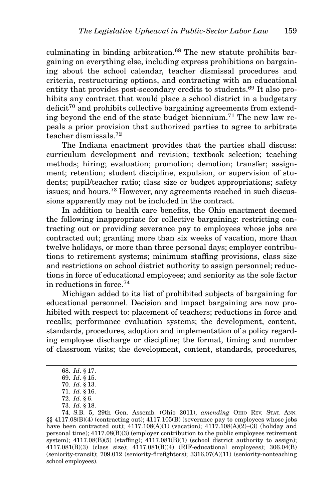culminating in binding arbitration. $68$  The new statute prohibits bargaining on everything else, including express prohibitions on bargaining about the school calendar, teacher dismissal procedures and criteria, restructuring options, and contracting with an educational entity that provides post-secondary credits to students.69 It also prohibits any contract that would place a school district in a budgetary  $deficit<sup>70</sup>$  and prohibits collective bargaining agreements from extending beyond the end of the state budget biennium.<sup>71</sup> The new law repeals a prior provision that authorized parties to agree to arbitrate teacher dismissals.72

The Indiana enactment provides that the parties shall discuss: curriculum development and revision; textbook selection; teaching methods; hiring; evaluation; promotion; demotion; transfer; assignment; retention; student discipline, expulsion, or supervision of students; pupil/teacher ratio; class size or budget appropriations; safety issues; and hours.<sup>73</sup> However, any agreements reached in such discussions apparently may not be included in the contract.

In addition to health care benefits, the Ohio enactment deemed the following inappropriate for collective bargaining: restricting contracting out or providing severance pay to employees whose jobs are contracted out; granting more than six weeks of vacation, more than twelve holidays, or more than three personal days; employer contributions to retirement systems; minimum staffing provisions, class size and restrictions on school district authority to assign personnel; reductions in force of educational employees; and seniority as the sole factor in reductions in force.74

Michigan added to its list of prohibited subjects of bargaining for educational personnel. Decision and impact bargaining are now prohibited with respect to: placement of teachers; reductions in force and recalls; performance evaluation systems; the development, content, standards, procedures, adoption and implementation of a policy regarding employee discharge or discipline; the format, timing and number of classroom visits; the development, content, standards, procedures,

<sup>68.</sup> Id. § 17.

<sup>69.</sup> Id. § 15.

<sup>70.</sup> Id. § 13.

<sup>71.</sup> Id. § 16.

<sup>72.</sup> Id. § 6. 73. Id. § 18.

<sup>74.</sup> S.B. 5, 29th Gen. Assemb. (Ohio 2011), amending OHIO REV. STAT. ANN. §§ 4117.08(B)(4) (contracting out); 4117.105(B) (severance pay to employees whose jobs have been contracted out);  $4117.108(A)(1)$  (vacation);  $4117.108(A)(2)-(3)$  (holiday and personal time); 4117.08(B)(3) (employer contribution to the public employees retirement system);  $4117.08(B)(5)$  (staffing);  $4117.081(B)(1)$  (school district authority to assign); 4117.081(B)(3) (class size); 4117.081(B)(4) (RIF-educational employees); 306.04(B) (seniority-transit); 709.012 (seniority-firefighters); 3316.07(A)(11) (seniority-nonteaching school employees).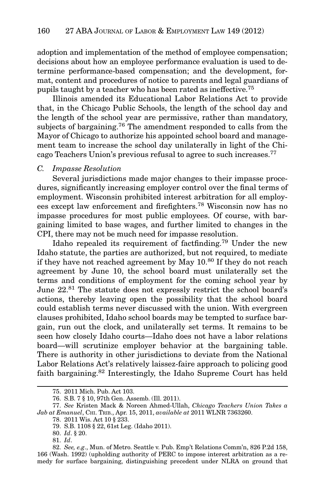adoption and implementation of the method of employee compensation; decisions about how an employee performance evaluation is used to determine performance-based compensation; and the development, format, content and procedures of notice to parents and legal guardians of pupils taught by a teacher who has been rated as ineffective.75

Illinois amended its Educational Labor Relations Act to provide that, in the Chicago Public Schools, the length of the school day and the length of the school year are permissive, rather than mandatory, subjects of bargaining.<sup>76</sup> The amendment responded to calls from the Mayor of Chicago to authorize his appointed school board and management team to increase the school day unilaterally in light of the Chicago Teachers Union's previous refusal to agree to such increases.77

#### C. Impasse Resolution

Several jurisdictions made major changes to their impasse procedures, significantly increasing employer control over the final terms of employment. Wisconsin prohibited interest arbitration for all employees except law enforcement and firefighters.<sup>78</sup> Wisconsin now has no impasse procedures for most public employees. Of course, with bargaining limited to base wages, and further limited to changes in the CPI, there may not be much need for impasse resolution.

Idaho repealed its requirement of factfinding.79 Under the new Idaho statute, the parties are authorized, but not required, to mediate if they have not reached agreement by May  $10^{80}$  If they do not reach agreement by June 10, the school board must unilaterally set the terms and conditions of employment for the coming school year by June  $22.^{81}$  The statute does not expressly restrict the school board's actions, thereby leaving open the possibility that the school board could establish terms never discussed with the union. With evergreen clauses prohibited, Idaho school boards may be tempted to surface bargain, run out the clock, and unilaterally set terms. It remains to be seen how closely Idaho courts—Idaho does not have a labor relations board—will scrutinize employer behavior at the bargaining table. There is authority in other jurisdictions to deviate from the National Labor Relations Act's relatively laissez-faire approach to policing good faith bargaining.82 Interestingly, the Idaho Supreme Court has held

<sup>75. 2011</sup> Mich. Pub. Act 103.

<sup>76.</sup> S.B. 7 § 10, 97th Gen. Assemb. (Ill. 2011).

<sup>77.</sup> See Kristen Mack & Noreen Ahmed-Ullah, Chicago Teachers Union Takes a Jab at Emanuel, CHI. TRIB., Apr. 15, 2011, available at 2011 WLNR 7363260.

<sup>78. 2011</sup> Wis. Act 10 § 233.

<sup>79.</sup> S.B. 1108 § 22, 61st Leg. (Idaho 2011).

<sup>80.</sup> Id. § 20.

<sup>81.</sup> Id.

<sup>82.</sup> See, e.g., Mun. of Metro. Seattle v. Pub. Emp't Relations Comm'n, 826 P.2d 158, 166 (Wash. 1992) (upholding authority of PERC to impose interest arbitration as a remedy for surface bargaining, distinguishing precedent under NLRA on ground that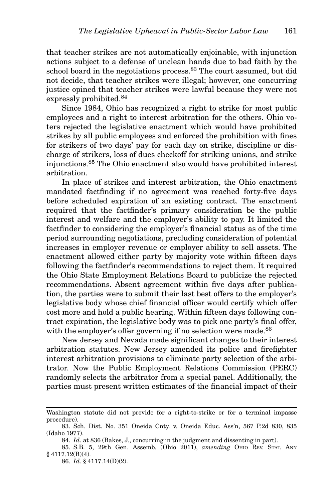that teacher strikes are not automatically enjoinable, with injunction actions subject to a defense of unclean hands due to bad faith by the school board in the negotiations process.<sup>83</sup> The court assumed, but did not decide, that teacher strikes were illegal; however, one concurring justice opined that teacher strikes were lawful because they were not expressly prohibited.<sup>84</sup>

Since 1984, Ohio has recognized a right to strike for most public employees and a right to interest arbitration for the others. Ohio voters rejected the legislative enactment which would have prohibited strikes by all public employees and enforced the prohibition with fines for strikers of two days' pay for each day on strike, discipline or discharge of strikers, loss of dues checkoff for striking unions, and strike injunctions.<sup>85</sup> The Ohio enactment also would have prohibited interest arbitration.

In place of strikes and interest arbitration, the Ohio enactment mandated factfinding if no agreement was reached forty-five days before scheduled expiration of an existing contract. The enactment required that the factfinder's primary consideration be the public interest and welfare and the employer's ability to pay. It limited the factfinder to considering the employer's financial status as of the time period surrounding negotiations, precluding consideration of potential increases in employer revenue or employer ability to sell assets. The enactment allowed either party by majority vote within fifteen days following the factfinder's recommendations to reject them. It required the Ohio State Employment Relations Board to publicize the rejected recommendations. Absent agreement within five days after publication, the parties were to submit their last best offers to the employer's legislative body whose chief financial officer would certify which offer cost more and hold a public hearing. Within fifteen days following contract expiration, the legislative body was to pick one party's final offer, with the employer's offer governing if no selection were made.<sup>86</sup>

New Jersey and Nevada made significant changes to their interest arbitration statutes. New Jersey amended its police and firefighter interest arbitration provisions to eliminate party selection of the arbitrator. Now the Public Employment Relations Commission (PERC) randomly selects the arbitrator from a special panel. Additionally, the parties must present written estimates of the financial impact of their

Washington statute did not provide for a right-to-strike or for a terminal impasse procedure).

<sup>83.</sup> Sch. Dist. No. 351 Oneida Cnty. v. Oneida Educ. Ass'n, 567 P.2d 830, 835 (Idaho 1977).

<sup>84.</sup> Id. at 836 (Bakes, J., concurring in the judgment and dissenting in part).

<sup>85.</sup> S.B. 5, 29th Gen. Assemb. (Ohio 2011), amending OHIO REV. STAT. ANN § 4117.12(B)(4).

<sup>86.</sup> Id. § 4117.14(D)(2).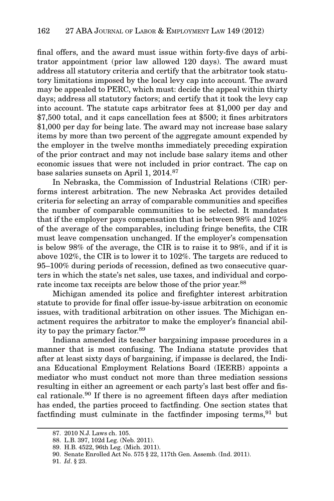final offers, and the award must issue within forty-five days of arbitrator appointment (prior law allowed 120 days). The award must address all statutory criteria and certify that the arbitrator took statutory limitations imposed by the local levy cap into account. The award may be appealed to PERC, which must: decide the appeal within thirty days; address all statutory factors; and certify that it took the levy cap into account. The statute caps arbitrator fees at \$1,000 per day and \$7,500 total, and it caps cancellation fees at \$500; it fines arbitrators \$1,000 per day for being late. The award may not increase base salary items by more than two percent of the aggregate amount expended by the employer in the twelve months immediately preceding expiration of the prior contract and may not include base salary items and other economic issues that were not included in prior contract. The cap on base salaries sunsets on April 1, 2014.<sup>87</sup>

In Nebraska, the Commission of Industrial Relations (CIR) performs interest arbitration. The new Nebraska Act provides detailed criteria for selecting an array of comparable communities and specifies the number of comparable communities to be selected. It mandates that if the employer pays compensation that is between 98% and 102% of the average of the comparables, including fringe benefits, the CIR must leave compensation unchanged. If the employer's compensation is below 98% of the average, the CIR is to raise it to 98%, and if it is above 102%, the CIR is to lower it to 102%. The targets are reduced to 95–100% during periods of recession, defined as two consecutive quarters in which the state's net sales, use taxes, and individual and corporate income tax receipts are below those of the prior year.<sup>88</sup>

Michigan amended its police and firefighter interest arbitration statute to provide for final offer issue-by-issue arbitration on economic issues, with traditional arbitration on other issues. The Michigan enactment requires the arbitrator to make the employer's financial ability to pay the primary factor.89

Indiana amended its teacher bargaining impasse procedures in a manner that is most confusing. The Indiana statute provides that after at least sixty days of bargaining, if impasse is declared, the Indiana Educational Employment Relations Board (IEERB) appoints a mediator who must conduct not more than three mediation sessions resulting in either an agreement or each party's last best offer and fiscal rationale.<sup>90</sup> If there is no agreement fifteen days after mediation has ended, the parties proceed to factfinding. One section states that factfinding must culminate in the factfinder imposing terms,  $91$  but

<sup>87. 2010</sup> N.J. Laws ch. 105.

<sup>88.</sup> L.B. 397, 102d Leg. (Neb. 2011).

<sup>89.</sup> H.B. 4522, 96th Leg. (Mich. 2011).

<sup>90.</sup> Senate Enrolled Act No. 575 § 22, 117th Gen. Assemb. (Ind. 2011).

<sup>91.</sup> Id. § 23.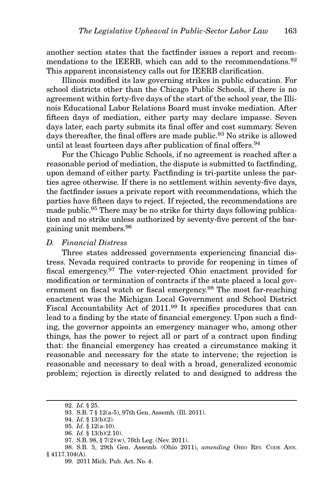another section states that the factfinder issues a report and recommendations to the IEERB, which can add to the recommendations.<sup>92</sup> This apparent inconsistency calls out for IEERB clarification.

Illinois modified its law governing strikes in public education. For school districts other than the Chicago Public Schools, if there is no agreement within forty-five days of the start of the school year, the Illinois Educational Labor Relations Board must invoke mediation. After fifteen days of mediation, either party may declare impasse. Seven days later, each party submits its final offer and cost summary. Seven days thereafter, the final offers are made public.<sup>93</sup> No strike is allowed until at least fourteen days after publication of final offers.<sup>94</sup>

For the Chicago Public Schools, if no agreement is reached after a reasonable period of mediation, the dispute is submitted to factfinding, upon demand of either party. Factfinding is tri-partite unless the parties agree otherwise. If there is no settlement within seventy-five days, the factfinder issues a private report with recommendations, which the parties have fifteen days to reject. If rejected, the recommendations are made public.95 There may be no strike for thirty days following publication and no strike unless authorized by seventy-five percent of the bargaining unit members.96

#### D. Financial Distress

Three states addressed governments experiencing financial distress. Nevada required contracts to provide for reopening in times of fiscal emergency.<sup>97</sup> The voter-rejected Ohio enactment provided for modification or termination of contracts if the state placed a local government on fiscal watch or fiscal emergency.<sup>98</sup> The most far-reaching enactment was the Michigan Local Government and School District Fiscal Accountability Act of 2011.<sup>99</sup> It specifies procedures that can lead to a finding by the state of financial emergency. Upon such a finding, the governor appoints an emergency manager who, among other things, has the power to reject all or part of a contract upon finding that: the financial emergency has created a circumstance making it reasonable and necessary for the state to intervene; the rejection is reasonable and necessary to deal with a broad, generalized economic problem; rejection is directly related to and designed to address the

<sup>92.</sup> Id. § 25.

<sup>93.</sup> S.B. 7 § 12(a-5), 97th Gen. Assemb. (Ill. 2011).

<sup>94.</sup> Id. § 13(b)(2).

<sup>95.</sup> Id. § 12(a-10).

<sup>96.</sup> Id. § 13(b)(2.10).

<sup>97.</sup> S.B. 98, § 7(2)(w), 76th Leg. (Nev. 2011).

<sup>98.</sup> S.B. 5, 29th Gen. Assemb. (Ohio 2011), amending OHIO REV. CODE ANN. § 4117.104(A).

<sup>99. 2011</sup> Mich. Pub. Act. No. 4.